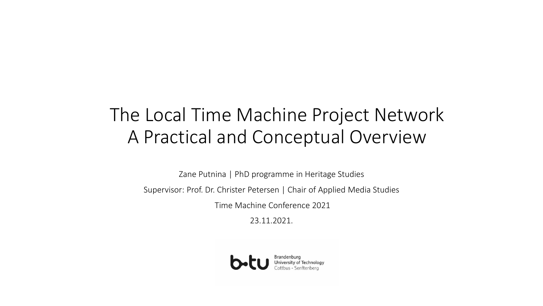# The Local Time Machine Project Network A Practical and Conceptual Overview

Zane Putnina | PhD programme in Heritage Studies

Supervisor: Prof. Dr. Christer Petersen | Chair of Applied Media Studies

Time Machine Conference 2021

23.11.2021.

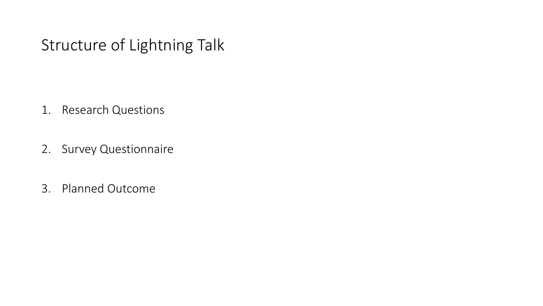# Structure of Lightning Talk

- 1. Research Questions
- 2. Survey Questionnaire
- 3. Planned Outcome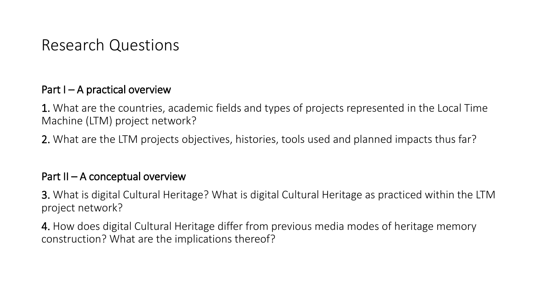### Research Questions

#### Part  $I - A$  practical overview

1. What are the countries, academic fields and types of projects represented in the Local Time Machine (LTM) project network?

2. What are the LTM projects objectives, histories, tools used and planned impacts thus far?

#### Part  $II - A$  conceptual overview

3. What is digital Cultural Heritage? What is digital Cultural Heritage as practiced within the LTM project network?

4. How does digital Cultural Heritage differ from previous media modes of heritage memory construction? What are the implications thereof?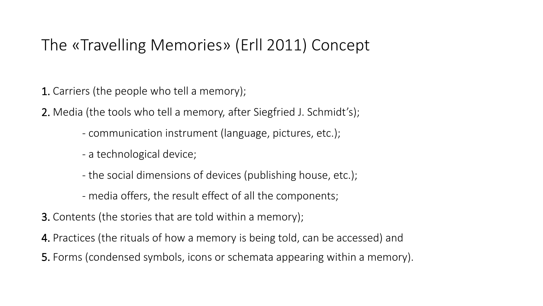# The «Travelling Memories» (Erll 2011) Concept

1. Carriers (the people who tell a memory);

2. Media (the tools who tell a memory, after Siegfried J. Schmidt's);

- communication instrument (language, pictures, etc.);
- a technological device;
- the social dimensions of devices (publishing house, etc.);
- media offers, the result effect of all the components;
- 3. Contents (the stories that are told within a memory);
- 4. Practices (the rituals of how a memory is being told, can be accessed) and
- 5. Forms (condensed symbols, icons or schemata appearing within a memory).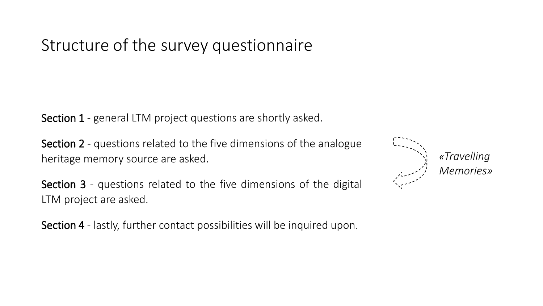Structure of the survey questionnaire

Section 1 - general LTM project questions are shortly asked.

Section 2 - questions related to the five dimensions of the analogue heritage memory source are asked.

Section 3 - questions related to the five dimensions of the digital LTM project are asked.

Section 4 - lastly, further contact possibilities will be inquired upon.

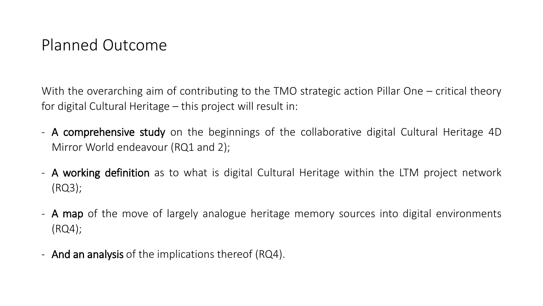## Planned Outcome

With the overarching aim of contributing to the TMO strategic action Pillar One – critical theory for digital Cultural Heritage – this project will result in:

- A comprehensive study on the beginnings of the collaborative digital Cultural Heritage 4D Mirror World endeavour (RQ1 and 2);
- **A working definition** as to what is digital Cultural Heritage within the LTM project network (RQ3);
- A map of the move of largely analogue heritage memory sources into digital environments (RQ4);
- And an analysis of the implications thereof (RQ4).